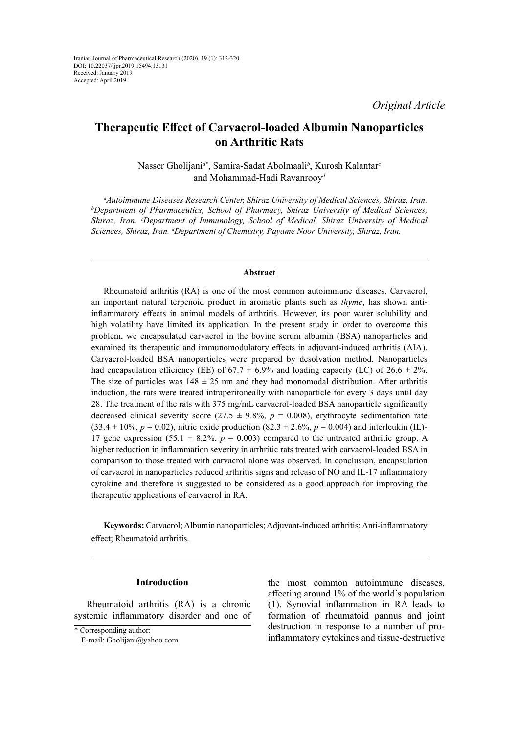# **Therapeutic Effect of Carvacrol-loaded Albumin Nanoparticles on Arthritic Rats**

Nasser Gholijani*a\**, Samira-Sadat Abolmaali*<sup>b</sup>* , Kurosh Kalantar*<sup>c</sup>* and Mohammad-Hadi Ravanrooy*<sup>d</sup>*

<sup>a</sup> Autoimmune Diseases Research Center, Shiraz University of Medical Sciences, Shiraz, Iran.<br>bDepartment of Pharmaceutics, School of Pharmacy, Shiraz, University of Medical Sciences *Department of Pharmaceutics, School of Pharmacy, Shiraz University of Medical Sciences, Shiraz, Iran. c Department of Immunology, School of Medical, Shiraz University of Medical Sciences, Shiraz, Iran. d Department of Chemistry, Payame Noor University, Shiraz, Iran.*

### **Abstract**

Rheumatoid arthritis (RA) is one of the most common autoimmune diseases. Carvacrol, an important natural terpenoid product in aromatic plants such as *thyme*, has shown antiinflammatory effects in animal models of arthritis. However, its poor water solubility and high volatility have limited its application. In the present study in order to overcome this problem, we encapsulated carvacrol in the bovine serum albumin (BSA) nanoparticles and examined its therapeutic and immunomodulatory effects in adjuvant-induced arthritis (AIA). Carvacrol-loaded BSA nanoparticles were prepared by desolvation method. Nanoparticles had encapsulation efficiency (EE) of 67.7  $\pm$  6.9% and loading capacity (LC) of 26.6  $\pm$  2%. The size of particles was  $148 \pm 25$  nm and they had monomodal distribution. After arthritis induction, the rats were treated intraperitoneally with nanoparticle for every 3 days until day 28. The treatment of the rats with 375 mg/mL carvacrol-loaded BSA nanoparticle significantly decreased clinical severity score  $(27.5 \pm 9.8\%, p = 0.008)$ , erythrocyte sedimentation rate  $(33.4 \pm 10\%, p = 0.02)$ , nitric oxide production  $(82.3 \pm 2.6\%, p = 0.004)$  and interleukin (IL)-17 gene expression (55.1  $\pm$  8.2%,  $p = 0.003$ ) compared to the untreated arthritic group. A higher reduction in inflammation severity in arthritic rats treated with carvacrol-loaded BSA in comparison to those treated with carvacrol alone was observed. In conclusion, encapsulation of carvacrol in nanoparticles reduced arthritis signs and release of NO and IL-17 inflammatory cytokine and therefore is suggested to be considered as a good approach for improving the therapeutic applications of carvacrol in RA.

**Keywords:** Carvacrol; Albumin nanoparticles; Adjuvant-induced arthritis; Anti-inflammatory effect; Rheumatoid arthritis.

### **Introduction**

Rheumatoid arthritis (RA) is a chronic systemic inflammatory disorder and one of

E-mail: Gholijani@yahoo.com

the most common autoimmune diseases, affecting around 1% of the world's population (1). Synovial inflammation in RA leads to formation of rheumatoid pannus and joint destruction in response to a number of proinflammatory cytokines and tissue-destructive

<sup>\*</sup> Corresponding author: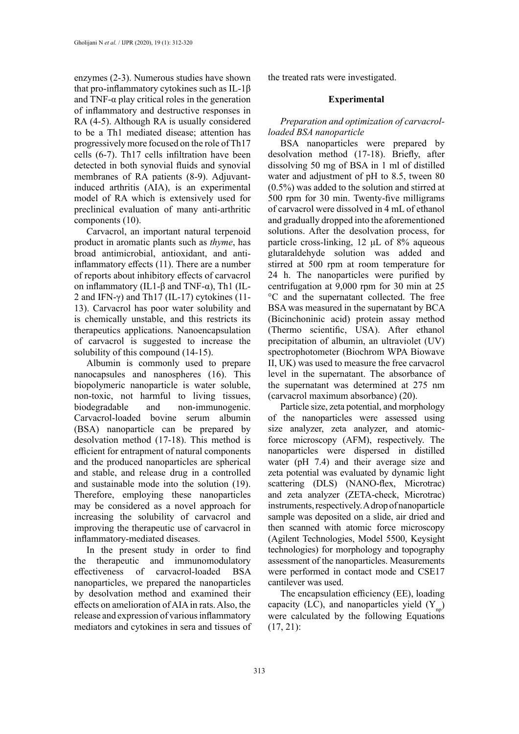enzymes (2-3). Numerous studies have shown that pro-inflammatory cytokines such as IL-1β and TNF- $\alpha$  play critical roles in the generation of inflammatory and destructive responses in RA (4-5). Although RA is usually considered to be a Th1 mediated disease; attention has progressively more focused on the role of Th17 cells (6-7). Th17 cells infiltration have been detected in both synovial fluids and synovial membranes of RA patients (8-9). Adjuvantinduced arthritis (AIA), is an experimental model of RA which is extensively used for preclinical evaluation of many anti-arthritic components (10).

Carvacrol, an important natural terpenoid product in aromatic plants such as *thyme*, has broad antimicrobial, antioxidant, and antiinflammatory effects (11). There are a number of reports about inhibitory effects of carvacrol on inflammatory (IL1-β and TNF- $α$ ), Th1 (IL-2 and IFN- $\gamma$ ) and Th17 (IL-17) cytokines (11-13). Carvacrol has poor water solubility and is chemically unstable, and this restricts its therapeutics applications. Nanoencapsulation of carvacrol is suggested to increase the solubility of this compound (14-15).

Albumin is commonly used to prepare nanocapsules and nanospheres (16). This biopolymeric nanoparticle is water soluble, non-toxic, not harmful to living tissues, biodegradable and non-immunogenic. Carvacrol-loaded bovine serum albumin (BSA) nanoparticle can be prepared by desolvation method (17-18). This method is efficient for entrapment of natural components and the produced nanoparticles are spherical and stable, and release drug in a controlled and sustainable mode into the solution (19). Therefore, employing these nanoparticles may be considered as a novel approach for increasing the solubility of carvacrol and improving the therapeutic use of carvacrol in inflammatory-mediated diseases.

In the present study in order to find the therapeutic and immunomodulatory effectiveness of carvacrol-loaded BSA nanoparticles, we prepared the nanoparticles by desolvation method and examined their effects on amelioration of AIA in rats. Also, the release and expression of various inflammatory mediators and cytokines in sera and tissues of the treated rats were investigated.

### **Experimental**

# *Preparation and optimization of carvacrolloaded BSA nanoparticle*

BSA nanoparticles were prepared by desolvation method (17-18). Briefly, after dissolving 50 mg of BSA in 1 ml of distilled water and adjustment of pH to 8.5, tween 80 (0.5%) was added to the solution and stirred at 500 rpm for 30 min. Twenty-five milligrams of carvacrol were dissolved in 4 mL of ethanol and gradually dropped into the aforementioned solutions. After the desolvation process, for particle cross-linking, 12 μL of 8% aqueous glutaraldehyde solution was added and stirred at 500 rpm at room temperature for 24 h. The nanoparticles were purified by centrifugation at 9,000 rpm for 30 min at 25 °C and the supernatant collected. The free BSA was measured in the supernatant by BCA (Bicinchoninic acid) protein assay method (Thermo scientific, USA). After ethanol precipitation of albumin, an ultraviolet (UV) spectrophotometer (Biochrom WPA Biowave II, UK) was used to measure the free carvacrol level in the supernatant. The absorbance of the supernatant was determined at 275 nm (carvacrol maximum absorbance) (20).

Particle size, zeta potential, and morphology of the nanoparticles were assessed using size analyzer, zeta analyzer, and atomicforce microscopy (AFM), respectively. The nanoparticles were dispersed in distilled water (pH 7.4) and their average size and zeta potential was evaluated by dynamic light scattering (DLS) (NANO-flex, Microtrac) and zeta analyzer (ZETA-check, Microtrac) instruments, respectively. A drop of nanoparticle sample was deposited on a slide, air dried and then scanned with atomic force microscopy (Agilent Technologies, Model 5500, Keysight technologies) for morphology and topography assessment of the nanoparticles. Measurements were performed in contact mode and CSE17 cantilever was used.

The encapsulation efficiency (EE), loading capacity (LC), and nanoparticles yield  $(Y_{n})$ were calculated by the following Equations (17, 21):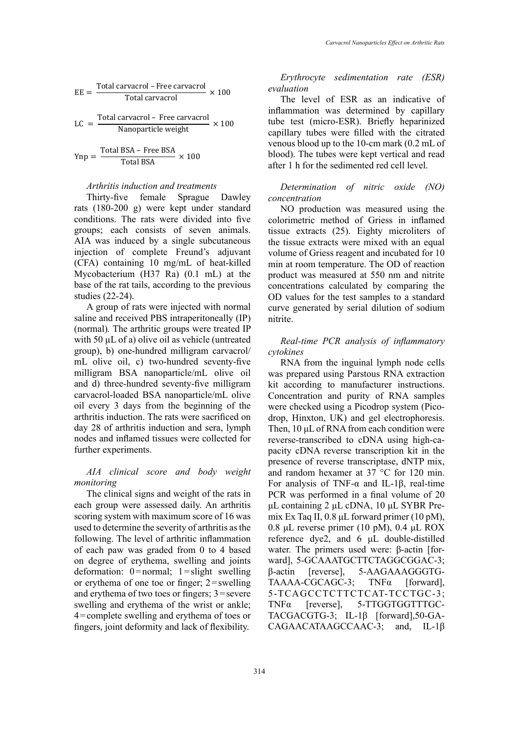$$
EE = \frac{\text{Total carvacrol} - \text{Free carvacrol}}{\text{Total carvacrol}} \times 100
$$

$$
LC = \frac{\text{Total carvacrol} - \text{Free carvacrol}}{\text{Nanoparticle weight}} \times 100
$$

$$
Ynp = \frac{\text{Total BSA} - \text{Free BSA}}{\text{Total BSA}} \times 100
$$

### *Arthritis induction and treatments*

Thirty-five female Sprague Dawley rats (180-200 g) were kept under standard conditions. The rats were divided into five groups; each consists of seven animals. AIA was induced by a single subcutaneous injection of complete Freund's adjuvant (CFA) containing 10 mg/mL of heat-killed Mycobacterium (H37 Ra) (0.1 mL) at the base of the rat tails, according to the previous studies (22-24).

A group of rats were injected with normal saline and received PBS intraperitoneally (IP) (normal)*.* The arthritic groups were treated IP with 50  $\mu$ L of a) olive oil as vehicle (untreated group), b) one-hundred milligram carvacrol/ mL olive oil, c) two-hundred seventy-five milligram BSA nanoparticle/mL olive oil and d) three-hundred seventy-five milligram carvacrol-loaded BSA nanoparticle/mL olive oil every 3 days from the beginning of the arthritis induction. The rats were sacrificed on day 28 of arthritis induction and sera, lymph nodes and inflamed tissues were collected for further experiments.

# *AIA clinical score and body weight monitoring*

The clinical signs and weight of the rats in each group were assessed daily. An arthritis scoring system with maximum score of 16 was used to determine the severity of arthritis as the following. The level of arthritic inflammation of each paw was graded from 0 to 4 based on degree of erythema, swelling and joints deformation:  $0 = normal$ ;  $1 = slight \text{swelling}$ or erythema of one toe or finger; 2=swelling and erythema of two toes or fingers; 3=severe swelling and erythema of the wrist or ankle; 4=complete swelling and erythema of toes or fingers, joint deformity and lack of flexibility.

*Erythrocyte sedimentation rate (ESR) evaluation* 

The level of ESR as an indicative of inflammation was determined by capillary tube test (micro-ESR). Briefly heparinized capillary tubes were filled with the citrated venous blood up to the 10-cm mark (0.2 mL of blood). The tubes were kept vertical and read after 1 h for the sedimented red cell level.

# *Determination of nitric oxide (NO) concentration*

NO production was measured using the colorimetric method of Griess in inflamed tissue extracts (25). Eighty microliters of the tissue extracts were mixed with an equal volume of Griess reagent and incubated for 10 min at room temperature. The OD of reaction product was measured at 550 nm and nitrite concentrations calculated by comparing the OD values for the test samples to a standard curve generated by serial dilution of sodium nitrite.

# *Real-time PCR analysis of inflammatory cytokines*

RNA from the inguinal lymph node cells was prepared using Parstous RNA extraction kit according to manufacturer instructions. Concentration and purity of RNA samples were checked using a Picodrop system (Picodrop, Hinxton, UK) and gel electrophoresis. Then, 10 μL of RNA from each condition were reverse-transcribed to cDNA using high-capacity cDNA reverse transcription kit in the presence of reverse transcriptase, dNTP mix, and random hexamer at 37 °C for 120 min. For analysis of TNF-α and IL-1β, real-time PCR was performed in a final volume of 20 μL containing 2 μL cDNA, 10 μL SYBR Premix Ex Taq II, 0.8 μL forward primer (10 pM), 0.8 μL reverse primer (10 pM), 0.4 μL ROX reference dye2, and 6 μL double-distilled water. The primers used were: β-actin [forward], 5-GCAAATGCTTCTAGGCGGAC-3; β-actin [reverse], 5-AAGAAAGGGTG-TAAAA-CGCAGC-3; TNFα [forward], 5-TCAGCCTCTTCTCAT-TCCTGC-3; TNFα [reverse], 5-TTGGTGGTTTGC-TACGACGTG-3; IL-1β [forward],50-GA-CAGAACATAAGCCAAC-3; and, IL-1β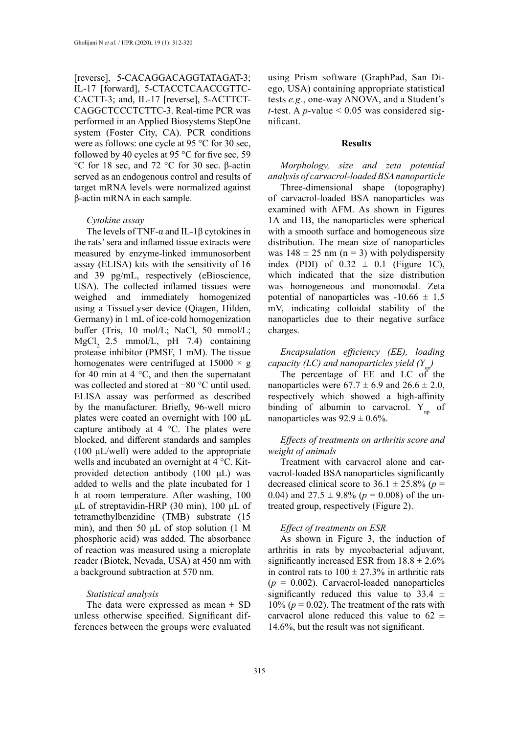[reverse], 5-CACAGGACAGGTATAGAT-3; IL-17 [forward], 5-CTACCTCAACCGTTC-CACTT-3; and, IL-17 [reverse], 5-ACTTCT-CAGGCTCCCTCTTC-3. Real-time PCR was performed in an Applied Biosystems StepOne system (Foster City, CA). PCR conditions were as follows: one cycle at 95 °C for 30 sec, followed by 40 cycles at 95 °C for five sec, 59 °C for 18 sec, and 72 °C for 30 sec. β-actin served as an endogenous control and results of target mRNA levels were normalized against β-actin mRNA in each sample.

#### *Cytokine assay*

The levels of TNF- $\alpha$  and IL-1 $\beta$  cytokines in the rats' sera and inflamed tissue extracts were measured by enzyme-linked immunosorbent assay (ELISA) kits with the sensitivity of 16 and 39 pg/mL, respectively (eBioscience, USA). The collected inflamed tissues were weighed and immediately homogenized using a TissueLyser device (Qiagen, Hilden, Germany) in 1 mL of ice-cold homogenization buffer (Tris, 10 mol/L; NaCl, 50 mmol/L; MgCl<sub>2</sub> 2.5 mmol/L, pH  $7.4$ ) containing protease inhibitor (PMSF, 1 mM). The tissue homogenates were centrifuged at  $15000 \times g$ for 40 min at 4  $\degree$ C, and then the supernatant was collected and stored at −80 °C until used. ELISA assay was performed as described by the manufacturer. Briefly, 96-well micro plates were coated an overnight with 100 μL capture antibody at 4 °C. The plates were blocked, and different standards and samples (100 μL/well) were added to the appropriate wells and incubated an overnight at 4 °C. Kitprovided detection antibody (100 μL) was added to wells and the plate incubated for 1 h at room temperature. After washing, 100 μL of streptavidin-HRP (30 min), 100 μL of tetramethylbenzidine (TMB) substrate (15 min), and then 50 μL of stop solution (1 M phosphoric acid) was added. The absorbance of reaction was measured using a microplate reader (Biotek, Nevada, USA) at 450 nm with a background subtraction at 570 nm.

#### *Statistical analysis*

The data were expressed as mean  $\pm$  SD unless otherwise specified. Significant differences between the groups were evaluated

using Prism software (GraphPad, San Diego, USA) containing appropriate statistical tests *e.g.*, one-way ANOVA, and a Student's *t*-test. A *p*-value  $\leq$  0.05 was considered significant.

#### **Results**

*Morphology, size and zeta potential analysis of carvacrol-loaded BSA nanoparticle*

Three-dimensional shape (topography) of carvacrol-loaded BSA nanoparticles was examined with AFM. As shown in Figures 1A and 1B, the nanoparticles were spherical with a smooth surface and homogeneous size distribution. The mean size of nanoparticles was  $148 \pm 25$  nm (n = 3) with polydispersity index (PDI) of  $0.32 \pm 0.1$  (Figure 1C), which indicated that the size distribution was homogeneous and monomodal. Zeta potential of nanoparticles was  $-10.66 \pm 1.5$ mV, indicating colloidal stability of the nanoparticles due to their negative surface charges.

*Encapsulation efficiency (EE), loading capacity (LC) and nanoparticles yield*  $(Y_n)$ 

The percentage of EE and LC of the nanoparticles were  $67.7 \pm 6.9$  and  $26.6 \pm 2.0$ , respectively which showed a high-affinity binding of albumin to carvacrol.  $Y_{nn}$  of nanoparticles was  $92.9 \pm 0.6\%$ .

### *Effects of treatments on arthritis score and weight of animals*

Treatment with carvacrol alone and carvacrol-loaded BSA nanoparticles significantly decreased clinical score to  $36.1 \pm 25.8\%$  (*p* = 0.04) and  $27.5 \pm 9.8\%$  ( $p = 0.008$ ) of the untreated group, respectively (Figure 2).

### *Effect of treatments on ESR*

As shown in Figure 3, the induction of arthritis in rats by mycobacterial adjuvant, significantly increased ESR from  $18.8 \pm 2.6\%$ in control rats to  $100 \pm 27.3\%$  in arthritic rats  $(p = 0.002)$ . Carvacrol-loaded nanoparticles significantly reduced this value to  $33.4 \pm$ 10% ( $p = 0.02$ ). The treatment of the rats with carvacrol alone reduced this value to  $62 \pm$ 14.6%, but the result was not significant.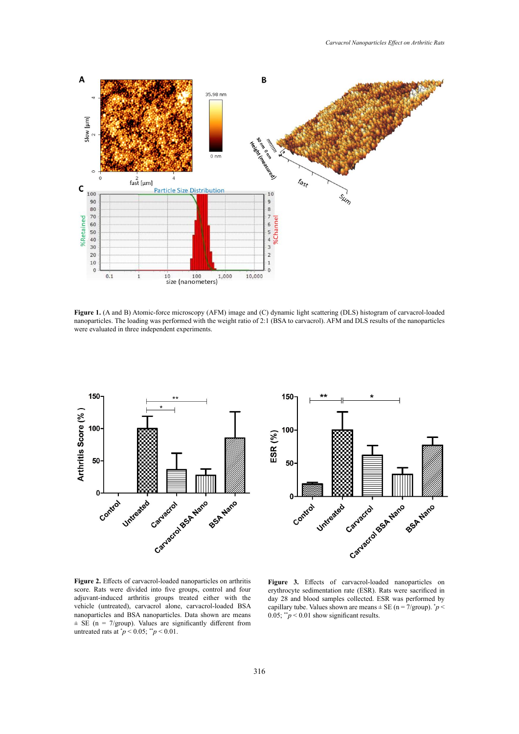

Figure 1. (A and B) Atomic-force microscopy (AFM) image and (C) dynamic light scattering (DLS) histogram of carvacrol-loaded were evaluated in three independent experiments. nanoparticles. The loading was performed with the weight ratio of 2:1 (BSA to carvacrol). AFM and DLS results of the nanoparticles





adjuvant-induced arthritis groups treated either with the day 28 and blood samples collected. nanoparticles and BSA nanoparticles. Data shown are means  $0.05; "p < 0.01$  show significant results. untreated rats at  $p < 0.05$ ;  $p < 0.01$ . **Figure 2.** Effects of carvacrol-loaded nanoparticles on arthritis score. Rats were divided into five groups, control and four vehicle (untreated), carvacrol alone, carvacrol-loaded BSA  $\pm$  SE (n = 7/group). Values are significantly different from

**Figure 3.** Effects of carvacrol-loaded nanoparticles on Equal blood samples conceted. ESR was performed by capillary tube. Values shown are means  $\pm$  SE (n = 7/group).  $\dot{p}$   $\lt$ 0.05;  $*^*p < 0.01$  show significant results. erythrocyte sedimentation rate (ESR). Rats were sacrificed in day 28 and blood samples collected. ESR was performed by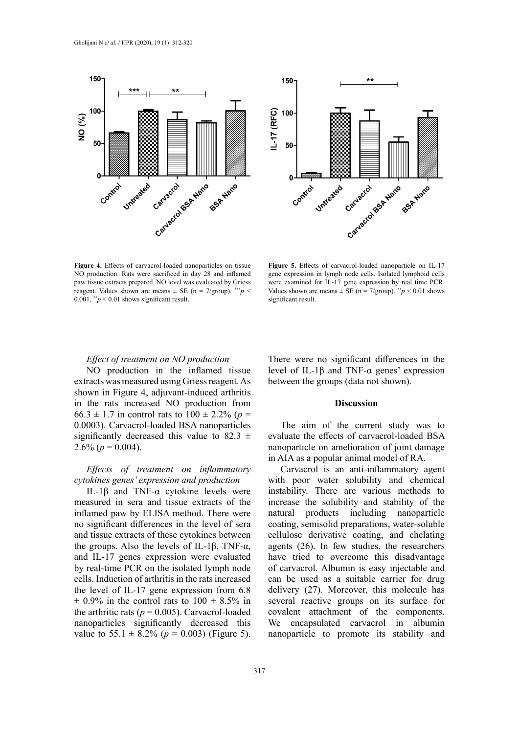



Figure 4. Effects of carvacrol-loaded nanoparticles on tissue Figure 5. Effects of carvacrol-loaded in paw tissue extracts prepared. NO level was evaluated by Griess were examined for IL-17 gene expression and the state of the state of the state of the state of the state of the state of the state of the state of the state o  $0.001,$ <sup>\*\*</sup>*p* < 0.01 shows significant result. Significant result. NO production. Rats were sacrificed in day 28 and inflamed reagent. Values shown are means  $\pm$  SE (n = 7/group). \*\*\**p* <

Figure 5. Effects of carvacrol-loaded nanoparticle on IL-17 were examined for IL-17 gene expression by real time PCR. significant result. gene expression in lymph node cells. Isolated lymphoid cells Values shown are means  $\pm$  SE (n = 7/group). \*\**p* < 0.01 shows

# *Effect of treatment on NO production*

NO production in the inflamed tissue extracts was measured using Griess reagent. As shown in Figure 4, adjuvant-induced arthritis in the rats increased NO production from 66.3  $\pm$  1.7 in control rats to 100  $\pm$  2.2% (*p* = 0.0003). Carvacrol-loaded BSA nanoparticles significantly decreased this value to 82.3  $\pm$ 2.6% ( $p = 0.004$ ).

# *Effects of treatment on inflammatory cytokines genes' expression and production*

IL-1β and TNF-α cytokine levels were measured in sera and tissue extracts of the inflamed paw by ELISA method. There were no significant differences in the level of sera and tissue extracts of these cytokines between the groups. Also the levels of IL-1β, TNF- $α$ , and IL-17 genes expression were evaluated by real-time PCR on the isolated lymph node cells. Induction of arthritis in the rats increased the level of IL-17 gene expression from 6.8  $\pm$  0.9% in the control rats to 100  $\pm$  8.5% in the arthritic rats ( $p = 0.005$ ). Carvacrol-loaded nanoparticles significantly decreased this value to 55.1  $\pm$  8.2% ( $p = 0.003$ ) (Figure 5). There were no significant differences in the level of IL-1β and TNF-α genes' expression between the groups (data not shown).

#### **Discussion**

The aim of the current study was to evaluate the effects of carvacrol-loaded BSA nanoparticle on amelioration of joint damage in AIA as a popular animal model of RA.

Carvacrol is an anti-inflammatory agent with poor water solubility and chemical instability. There are various methods to increase the solubility and stability of the natural products including nanoparticle coating, semisolid preparations, water-soluble cellulose derivative coating, and chelating agents (26). In few studies, the researchers have tried to overcome this disadvantage of carvacrol. Albumin is easy injectable and can be used as a suitable carrier for drug delivery (27). Moreover, this molecule has several reactive groups on its surface for covalent attachment of the components. We encapsulated carvacrol in albumin nanoparticle to promote its stability and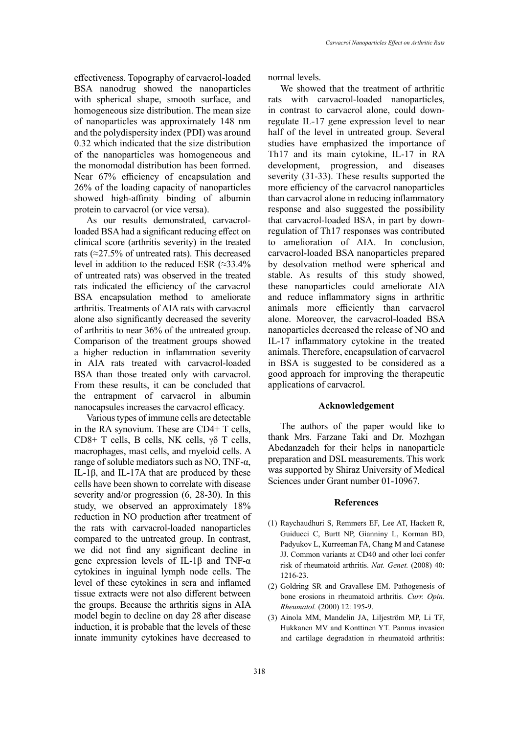effectiveness. Topography of carvacrol-loaded BSA nanodrug showed the nanoparticles with spherical shape, smooth surface, and homogeneous size distribution. The mean size of nanoparticles was approximately 148 nm and the polydispersity index (PDI) was around 0.32 which indicated that the size distribution of the nanoparticles was homogeneous and the monomodal distribution has been formed. Near 67% efficiency of encapsulation and 26% of the loading capacity of nanoparticles showed high-affinity binding of albumin protein to carvacrol (or vice versa).

As our results demonstrated, carvacrolloaded BSA had a significant reducing effect on clinical score (arthritis severity) in the treated rats (≈27.5% of untreated rats). This decreased level in addition to the reduced ESR  $(\approx 33.4\%)$ of untreated rats) was observed in the treated rats indicated the efficiency of the carvacrol BSA encapsulation method to ameliorate arthritis. Treatments of AIA rats with carvacrol alone also significantly decreased the severity of arthritis to near 36% of the untreated group. Comparison of the treatment groups showed a higher reduction in inflammation severity in AIA rats treated with carvacrol-loaded BSA than those treated only with carvacrol. From these results, it can be concluded that the entrapment of carvacrol in albumin nanocapsules increases the carvacrol efficacy.

Various types of immune cells are detectable in the RA synovium. These are CD4+ T cells, CD8+ T cells, B cells, NK cells,  $\gamma\delta$  T cells, macrophages, mast cells, and myeloid cells. A range of soluble mediators such as NO, TNF- $α$ , IL-1β, and IL-17A that are produced by these cells have been shown to correlate with disease severity and/or progression (6, 28-30). In this study, we observed an approximately 18% reduction in NO production after treatment of the rats with carvacrol-loaded nanoparticles compared to the untreated group. In contrast, we did not find any significant decline in gene expression levels of IL-1β and TNF-α cytokines in inguinal lymph node cells. The level of these cytokines in sera and inflamed tissue extracts were not also different between the groups. Because the arthritis signs in AIA model begin to decline on day 28 after disease induction, it is probable that the levels of these innate immunity cytokines have decreased to

normal levels.

We showed that the treatment of arthritic rats with carvacrol-loaded nanoparticles, in contrast to carvacrol alone, could downregulate IL-17 gene expression level to near half of the level in untreated group. Several studies have emphasized the importance of Th17 and its main cytokine, IL-17 in RA development, progression, and diseases severity (31-33). These results supported the more efficiency of the carvacrol nanoparticles than carvacrol alone in reducing inflammatory response and also suggested the possibility that carvacrol-loaded BSA, in part by downregulation of Th17 responses was contributed to amelioration of AIA. In conclusion, carvacrol-loaded BSA nanoparticles prepared by desolvation method were spherical and stable. As results of this study showed, these nanoparticles could ameliorate AIA and reduce inflammatory signs in arthritic animals more efficiently than carvacrol alone. Moreover, the carvacrol-loaded BSA nanoparticles decreased the release of NO and IL-17 inflammatory cytokine in the treated animals. Therefore, encapsulation of carvacrol in BSA is suggested to be considered as a good approach for improving the therapeutic applications of carvacrol.

### **Acknowledgement**

The authors of the paper would like to thank Mrs. Farzane Taki and Dr. Mozhgan Abedanzadeh for their helps in nanoparticle preparation and DSL measurements. This work was supported by Shiraz University of Medical Sciences under Grant number 01-10967.

#### **References**

- (1) Raychaudhuri S, Remmers EF, Lee AT, Hackett R, Guiducci C, Burtt NP, Gianniny L, Korman BD, Padyukov L, Kurreeman FA, Chang M and Catanese JJ. Common variants at CD40 and other loci confer risk of rheumatoid arthritis. *Nat. Genet.* (2008) 40: 1216-23.
- (2) Goldring SR and Gravallese EM. Pathogenesis of bone erosions in rheumatoid arthritis. *Curr. Opin. Rheumatol.* (2000) 12: 195-9.
- (3) Ainola MM, Mandelin JA, Liljeström MP, Li TF, Hukkanen MV and Konttinen YT. Pannus invasion and cartilage degradation in rheumatoid arthritis: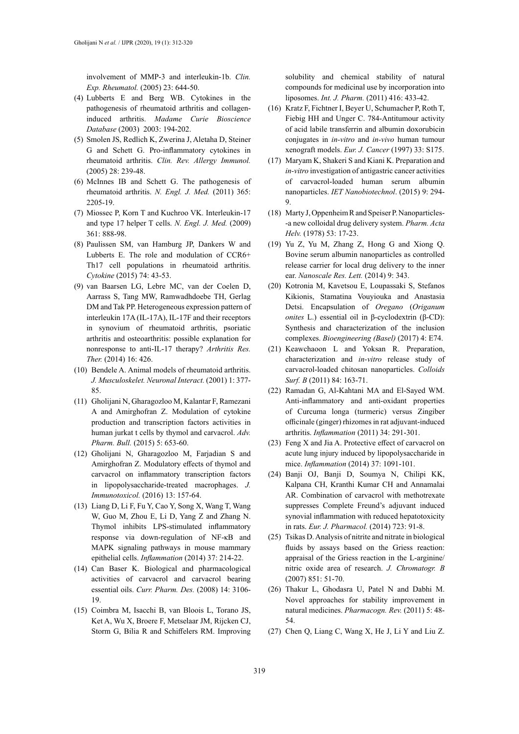involvement of MMP-3 and interleukin-1b. *Clin. Exp. Rheumatol.* (2005) 23: 644-50.

- (4) Lubberts E and Berg WB. Cytokines in the pathogenesis of rheumatoid arthritis and collageninduced arthritis. *Madame Curie Bioscience Database* (2003) 2003: 194-202.
- (5) Smolen JS, Redlich K, Zwerina J, Aletaha D, Steiner G and Schett G. Pro-inflammatory cytokines in rheumatoid arthritis. *Clin. Rev. Allergy Immunol.* (2005) 28: 239-48.
- (6) McInnes IB and Schett G. The pathogenesis of rheumatoid arthritis. *N. Engl. J. Med.* (2011) 365: 2205-19.
- (7) Miossec P, Korn T and Kuchroo VK. Interleukin-17 and type 17 helper T cells. *N. Engl. J. Med.* (2009) 361: 888-98.
- (8) Paulissen SM, van Hamburg JP, Dankers W and Lubberts E. The role and modulation of CCR6+ Th17 cell populations in rheumatoid arthritis. *Cytokine* (2015) 74: 43-53.
- (9) van Baarsen LG, Lebre MC, van der Coelen D, Aarrass S, Tang MW, Ramwadhdoebe TH, Gerlag DM and Tak PP. Heterogeneous expression pattern of interleukin 17A (IL-17A), IL-17F and their receptors in synovium of rheumatoid arthritis, psoriatic arthritis and osteoarthritis: possible explanation for nonresponse to anti-IL-17 therapy? *Arthritis Res. Ther.* (2014) 16: 426.
- (10) Bendele A. Animal models of rheumatoid arthritis. *J. Musculoskelet. Neuronal Interact.* (2001) 1: 377- 85.
- (11) Gholijani N, Gharagozloo M, Kalantar F, Ramezani A and Amirghofran Z. Modulation of cytokine production and transcription factors activities in human jurkat t cells by thymol and carvacrol. *Adv. Pharm. Bull.* (2015) 5: 653-60.
- (12) Gholijani N, Gharagozloo M, Farjadian S and Amirghofran Z. Modulatory effects of thymol and carvacrol on inflammatory transcription factors in lipopolysaccharide-treated macrophages. *J. Immunotoxicol.* (2016) 13: 157-64.
- (13) Liang D, Li F, Fu Y, Cao Y, Song X, Wang T, Wang W, Guo M, Zhou E, Li D, Yang Z and Zhang N. Thymol inhibits LPS-stimulated inflammatory response via down-regulation of NF-κB and MAPK signaling pathways in mouse mammary epithelial cells. *Inflammation* (2014) 37: 214-22.
- (14) Can Baser K. Biological and pharmacological activities of carvacrol and carvacrol bearing essential oils. *Curr. Pharm. Des.* (2008) 14: 3106- 19.
- (15) Coimbra M, Isacchi B, van Bloois L, Torano JS, Ket A, Wu X, Broere F, Metselaar JM, Rijcken CJ, Storm G, Bilia R and Schiffelers RM. Improving

solubility and chemical stability of natural compounds for medicinal use by incorporation into liposomes. *Int. J. Pharm.* (2011) 416: 433-42.

- (16) Kratz F, Fichtner I, Beyer U, Schumacher P, Roth T, Fiebig HH and Unger C. 784-Antitumour activity of acid labile transferrin and albumin doxorubicin conjugates in *in-vitro* and *in-vivo* human tumour xenograft models. *Eur. J. Cancer* (1997) 33: S175.
- (17) Maryam K, Shakeri S and Kiani K. Preparation and *in-vitro* investigation of antigastric cancer activities of carvacrol-loaded human serum albumin nanoparticles. *IET Nanobiotechnol*. (2015) 9: 294- 9.
- (18) Marty J, Oppenheim R and Speiser P. Nanoparticles- -a new colloidal drug delivery system. *Pharm. Acta Helv.* (1978) 53: 17-23.
- (19) Yu Z, Yu M, Zhang Z, Hong G and Xiong Q. Bovine serum albumin nanoparticles as controlled release carrier for local drug delivery to the inner ear. *Nanoscale Res. Lett.* (2014) 9: 343.
- (20) Kotronia M, Kavetsou E, Loupassaki S, Stefanos Kikionis, Stamatina Vouyiouka and Anastasia Detsi. Encapsulation of *Oregano* (*Origanum onites* L.) essential oil in β-cyclodextrin (β-CD): Synthesis and characterization of the inclusion complexes. *Bioengineering (Basel)* (2017) 4: E74.
- (21) Keawchaoon L and Yoksan R. Preparation, characterization and *in-vitro* release study of carvacrol-loaded chitosan nanoparticles. *Colloids Surf. B* (2011) 84: 163-71.
- (22) Ramadan G, Al-Kahtani MA and El-Sayed WM. Anti-inflammatory and anti-oxidant properties of Curcuma longa (turmeric) versus Zingiber officinale (ginger) rhizomes in rat adjuvant-induced arthritis. *Inflammation* (2011) 34: 291-301.
- (23) Feng X and Jia A. Protective effect of carvacrol on acute lung injury induced by lipopolysaccharide in mice. *Inflammation* (2014) 37: 1091-101.
- (24) Banji OJ, Banji D, Soumya N, Chilipi KK, Kalpana CH, Kranthi Kumar CH and Annamalai AR. Combination of carvacrol with methotrexate suppresses Complete Freund's adjuvant induced synovial inflammation with reduced hepatotoxicity in rats. *Eur. J. Pharmacol.* (2014) 723: 91-8.
- (25) Tsikas D. Analysis of nitrite and nitrate in biological fluids by assays based on the Griess reaction: appraisal of the Griess reaction in the L-arginine/ nitric oxide area of research. *J. Chromatogr. B* (2007) 851: 51-70.
- (26) Thakur L, Ghodasra U, Patel N and Dabhi M. Novel approaches for stability improvement in natural medicines. *Pharmacogn. Rev.* (2011) 5: 48- 54.
- (27) Chen Q, Liang C, Wang X, He J, Li Y and Liu Z.